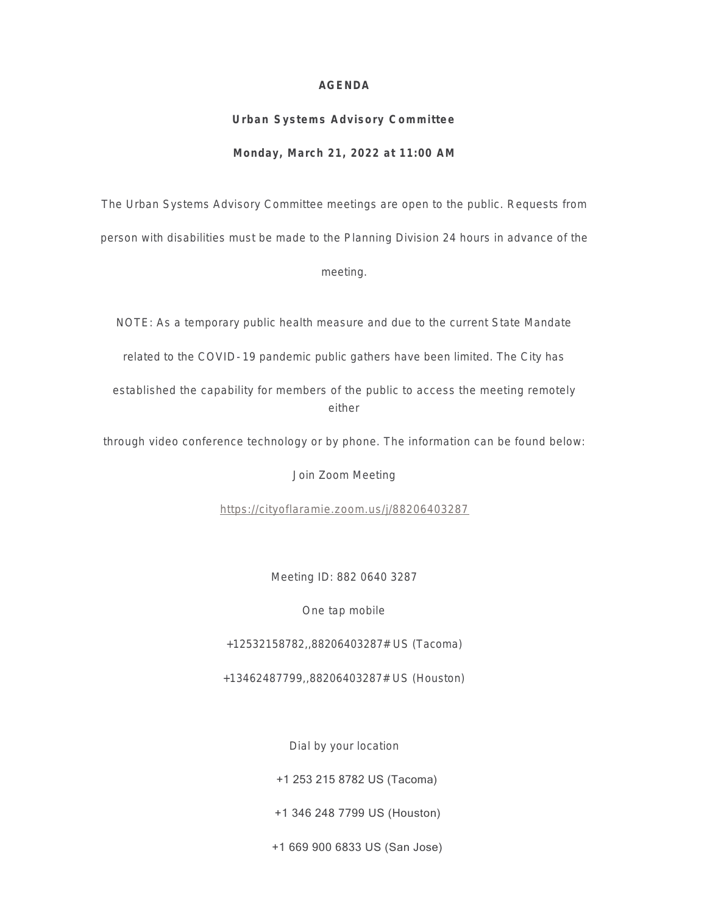#### **AGENDA**

# **Urban Systems Advisory Committee Monday, March 21, 2022 at 11:00 AM**

The Urban Systems Advisory Committee meetings are open to the public. Requests from

person with disabilities must be made to the Planning Division 24 hours in advance of the

meeting.

NOTE: As a temporary public health measure and due to the current State Mandate

related to the COVID- 19 pandemic public gathers have been limited. The City has

established the capability for members of the public to access the meeting remotely either

through video conference technology or by phone. The information can be found below:

Join Zoom Meeting

<https://cityoflaramie.zoom.us/j/88206403287>

Meeting ID: 882 0640 3287

One tap mobile

+12532158782,,88206403287# US (Tacoma)

+13462487799,,88206403287# US (Houston)

Dial by your location

+1 253 215 8782 US (Tacoma)

+1 346 248 7799 US (Houston)

+1 669 900 6833 US (San Jose)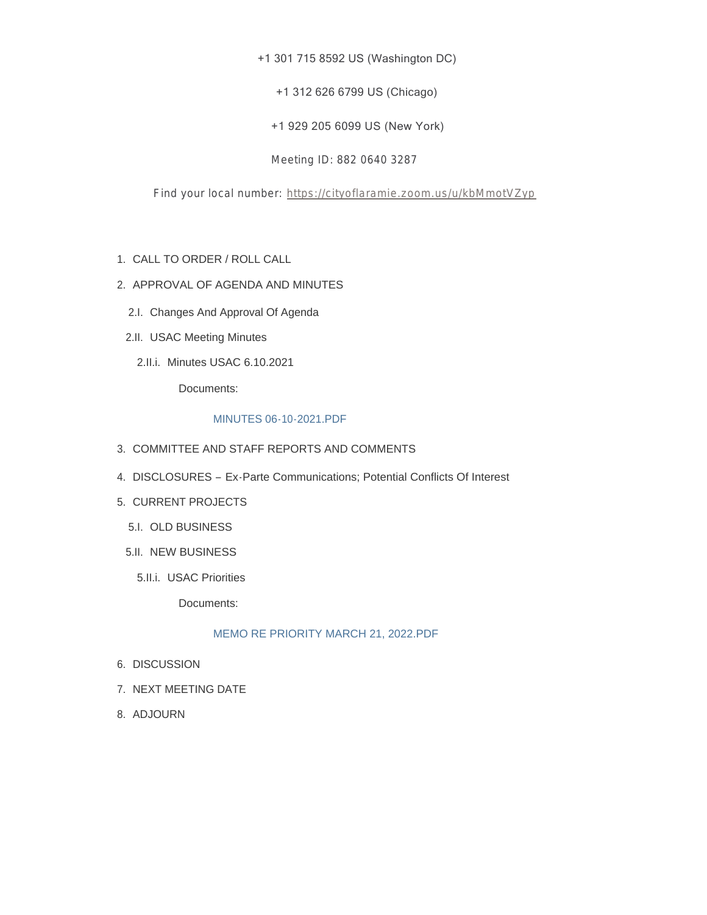#### +1 301 715 8592 US (Washington DC)

+1 312 626 6799 US (Chicago)

+1 929 205 6099 US (New York)

Meeting ID: 882 0640 3287

Find your local number: <https://cityoflaramie.zoom.us/u/kbMmotVZyp>

- CALL TO ORDER / ROLL CALL 1.
- 2. APPROVAL OF AGENDA AND MINUTES
	- 2.I. Changes And Approval Of Agenda
	- 2.II. USAC Meeting Minutes
		- 2.II.i. Minutes USAC 6.10.2021

Documents:

#### MINUTES 06-10-2021.PDF

- 3. COMMITTEE AND STAFF REPORTS AND COMMENTS
- 4. DISCLOSURES Ex-Parte Communications; Potential Conflicts Of Interest
- 5. CURRENT PROJECTS
	- 5.I. OLD BUSINESS
	- 5.II. NEW BUSINESS
		- 5.II.i. USAC Priorities

Documents:

#### MEMO RE PRIORITY MARCH 21, 2022.PDF

- 6. DISCUSSION
- 7. NEXT MEETING DATE
- 8. ADJOURN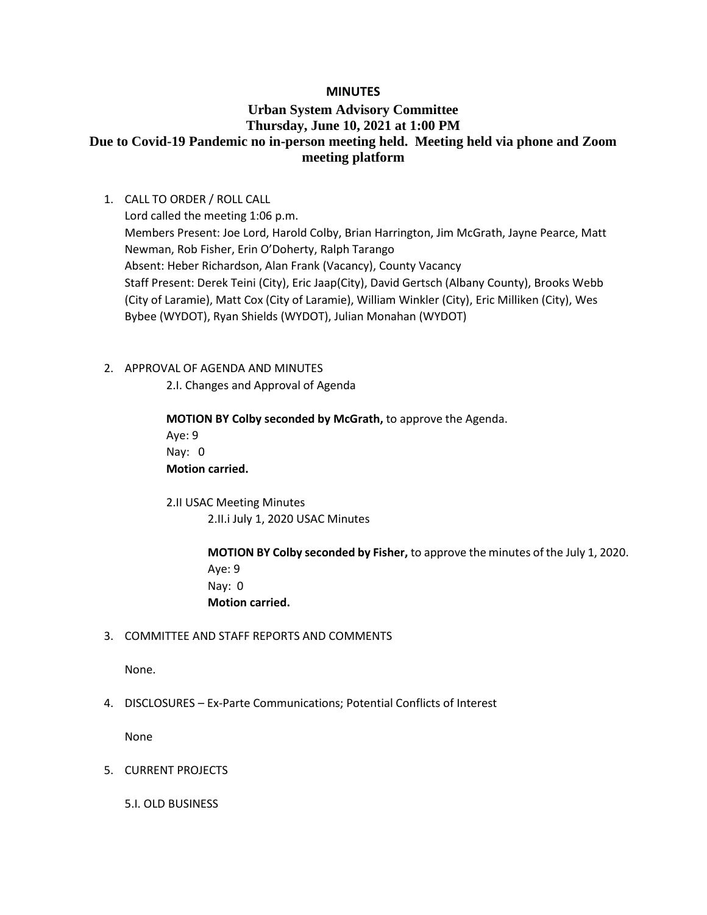### **MINUTES**

# **Urban System Advisory Committee Thursday, June 10, 2021 at 1:00 PM Due to Covid-19 Pandemic no in-person meeting held. Meeting held via phone and Zoom meeting platform**

1. CALL TO ORDER / ROLL CALL

Lord called the meeting 1:06 p.m. Members Present: Joe Lord, Harold Colby, Brian Harrington, Jim McGrath, Jayne Pearce, Matt Newman, Rob Fisher, Erin O'Doherty, Ralph Tarango Absent: Heber Richardson, Alan Frank (Vacancy), County Vacancy Staff Present: Derek Teini (City), Eric Jaap(City), David Gertsch (Albany County), Brooks Webb (City of Laramie), Matt Cox (City of Laramie), William Winkler (City), Eric Milliken (City), Wes Bybee (WYDOT), Ryan Shields (WYDOT), Julian Monahan (WYDOT)

- 2. APPROVAL OF AGENDA AND MINUTES
	- 2.I. Changes and Approval of Agenda

**MOTION BY Colby seconded by McGrath,** to approve the Agenda. Aye: 9 Nay: 0 **Motion carried.**

2.II USAC Meeting Minutes 2.II.i July 1, 2020 USAC Minutes

> **MOTION BY Colby seconded by Fisher,** to approve the minutes of the July 1, 2020. Aye: 9 Nay: 0 **Motion carried.**

3. COMMITTEE AND STAFF REPORTS AND COMMENTS

None.

4. DISCLOSURES – Ex-Parte Communications; Potential Conflicts of Interest

None

5. CURRENT PROJECTS

5.I. OLD BUSINESS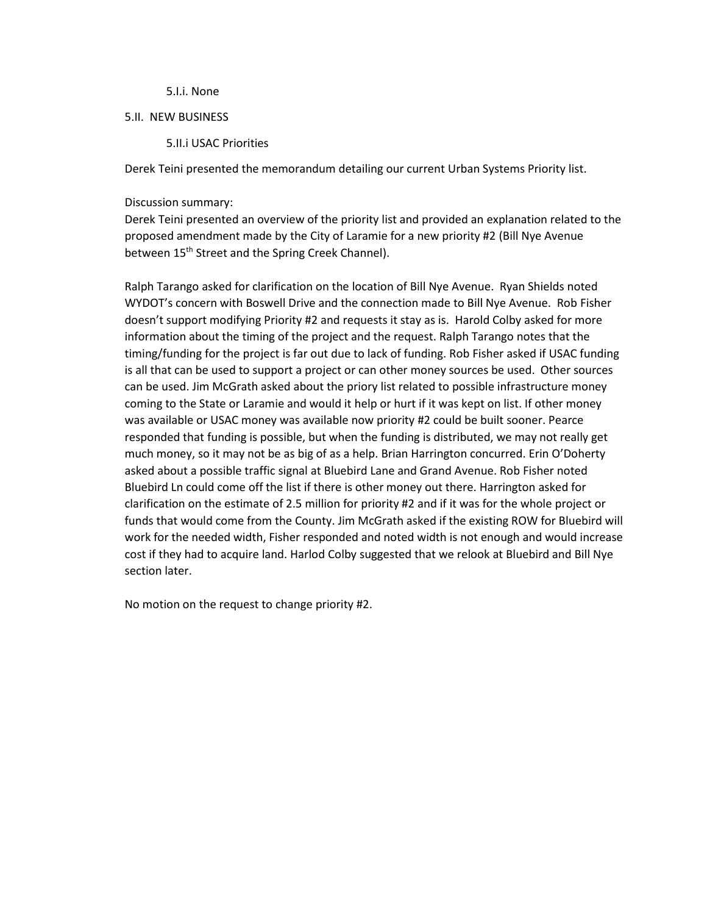#### 5.I.i. None

#### 5.II. NEW BUSINESS

#### 5.II.i USAC Priorities

Derek Teini presented the memorandum detailing our current Urban Systems Priority list.

#### Discussion summary:

Derek Teini presented an overview of the priority list and provided an explanation related to the proposed amendment made by the City of Laramie for a new priority #2 (Bill Nye Avenue between 15<sup>th</sup> Street and the Spring Creek Channel).

Ralph Tarango asked for clarification on the location of Bill Nye Avenue. Ryan Shields noted WYDOT's concern with Boswell Drive and the connection made to Bill Nye Avenue. Rob Fisher doesn't support modifying Priority #2 and requests it stay as is. Harold Colby asked for more information about the timing of the project and the request. Ralph Tarango notes that the timing/funding for the project is far out due to lack of funding. Rob Fisher asked if USAC funding is all that can be used to support a project or can other money sources be used. Other sources can be used. Jim McGrath asked about the priory list related to possible infrastructure money coming to the State or Laramie and would it help or hurt if it was kept on list. If other money was available or USAC money was available now priority #2 could be built sooner. Pearce responded that funding is possible, but when the funding is distributed, we may not really get much money, so it may not be as big of as a help. Brian Harrington concurred. Erin O'Doherty asked about a possible traffic signal at Bluebird Lane and Grand Avenue. Rob Fisher noted Bluebird Ln could come off the list if there is other money out there. Harrington asked for clarification on the estimate of 2.5 million for priority #2 and if it was for the whole project or funds that would come from the County. Jim McGrath asked if the existing ROW for Bluebird will work for the needed width, Fisher responded and noted width is not enough and would increase cost if they had to acquire land. Harlod Colby suggested that we relook at Bluebird and Bill Nye section later.

No motion on the request to change priority #2.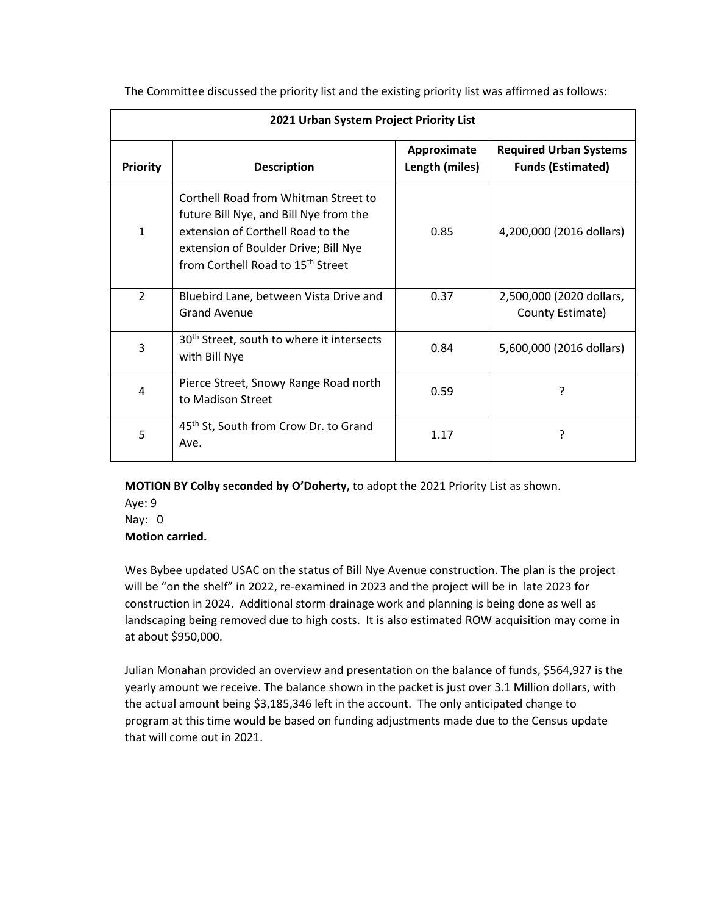| 2021 Urban System Project Priority List |                                                                                                                                                                                                              |                               |                                                           |  |  |
|-----------------------------------------|--------------------------------------------------------------------------------------------------------------------------------------------------------------------------------------------------------------|-------------------------------|-----------------------------------------------------------|--|--|
| <b>Priority</b>                         | <b>Description</b>                                                                                                                                                                                           | Approximate<br>Length (miles) | <b>Required Urban Systems</b><br><b>Funds (Estimated)</b> |  |  |
| $\mathbf{1}$                            | Corthell Road from Whitman Street to<br>future Bill Nye, and Bill Nye from the<br>extension of Corthell Road to the<br>extension of Boulder Drive; Bill Nye<br>from Corthell Road to 15 <sup>th</sup> Street | 0.85                          | 4,200,000 (2016 dollars)                                  |  |  |
| $\mathcal{P}$                           | Bluebird Lane, between Vista Drive and<br><b>Grand Avenue</b>                                                                                                                                                | 0.37                          | 2,500,000 (2020 dollars,<br>County Estimate)              |  |  |
| 3                                       | 30 <sup>th</sup> Street, south to where it intersects<br>with Bill Nye                                                                                                                                       | 0.84                          | 5,600,000 (2016 dollars)                                  |  |  |
| 4                                       | Pierce Street, Snowy Range Road north<br>to Madison Street                                                                                                                                                   | 0.59                          | ?                                                         |  |  |
| 5                                       | 45 <sup>th</sup> St, South from Crow Dr. to Grand<br>Ave.                                                                                                                                                    | 1.17                          | ?                                                         |  |  |

The Committee discussed the priority list and the existing priority list was affirmed as follows:

**MOTION BY Colby seconded by O'Doherty,** to adopt the 2021 Priority List as shown.

Aye: 9 Nay: 0 **Motion carried.**

Wes Bybee updated USAC on the status of Bill Nye Avenue construction. The plan is the project will be "on the shelf" in 2022, re-examined in 2023 and the project will be in late 2023 for construction in 2024. Additional storm drainage work and planning is being done as well as landscaping being removed due to high costs. It is also estimated ROW acquisition may come in at about \$950,000.

Julian Monahan provided an overview and presentation on the balance of funds, \$564,927 is the yearly amount we receive. The balance shown in the packet is just over 3.1 Million dollars, with the actual amount being \$3,185,346 left in the account. The only anticipated change to program at this time would be based on funding adjustments made due to the Census update that will come out in 2021.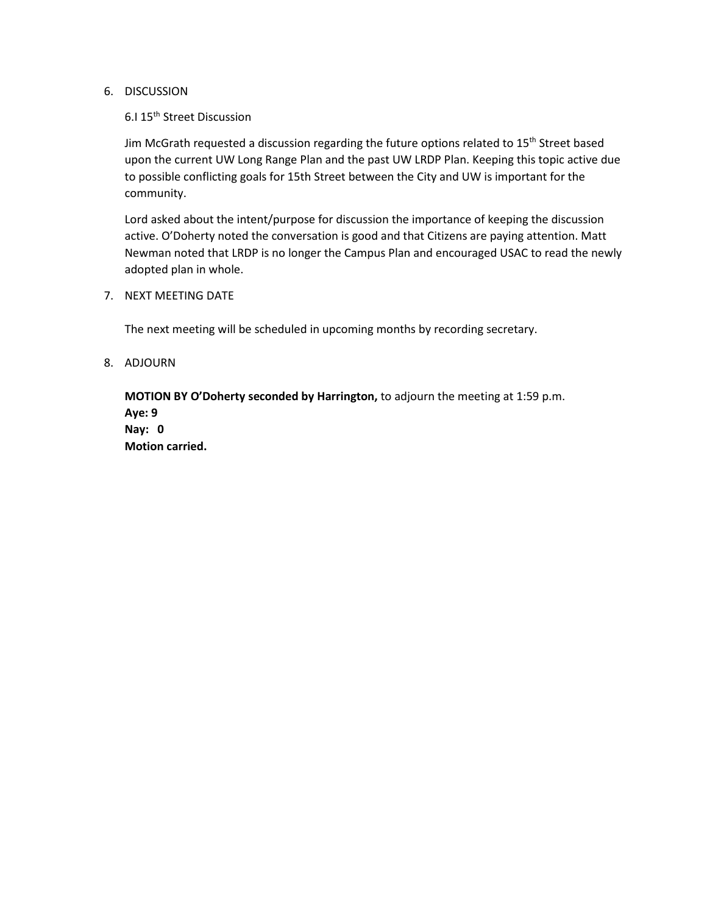### 6. DISCUSSION

## 6.I 15th Street Discussion

Jim McGrath requested a discussion regarding the future options related to 15<sup>th</sup> Street based upon the current UW Long Range Plan and the past UW LRDP Plan. Keeping this topic active due to possible conflicting goals for 15th Street between the City and UW is important for the community.

Lord asked about the intent/purpose for discussion the importance of keeping the discussion active. O'Doherty noted the conversation is good and that Citizens are paying attention. Matt Newman noted that LRDP is no longer the Campus Plan and encouraged USAC to read the newly adopted plan in whole.

#### 7. NEXT MEETING DATE

The next meeting will be scheduled in upcoming months by recording secretary.

#### 8. ADJOURN

**MOTION BY O'Doherty seconded by Harrington,** to adjourn the meeting at 1:59 p.m. **Aye: 9 Nay: 0 Motion carried.**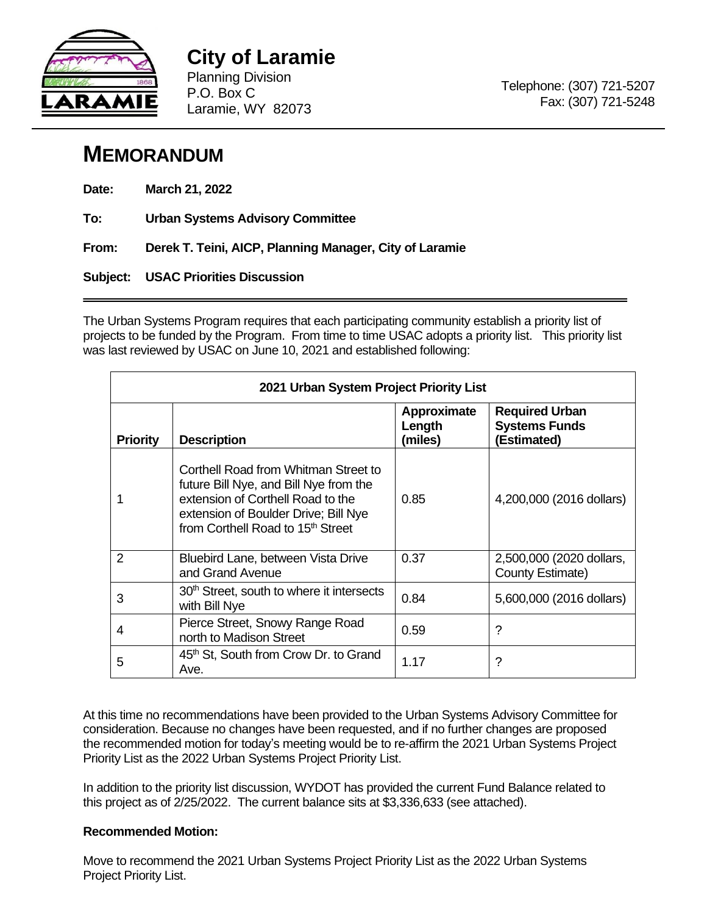

**City of Laramie**  Planning Division P.O. Box C Laramie, WY 82073

# **MEMORANDUM**

| Date: | March 21, 2022 |
|-------|----------------|
|-------|----------------|

**To: Urban Systems Advisory Committee** 

**From: Derek T. Teini, AICP, Planning Manager, City of Laramie**

**Subject: USAC Priorities Discussion** 

The Urban Systems Program requires that each participating community establish a priority list of projects to be funded by the Program. From time to time USAC adopts a priority list. This priority list was last reviewed by USAC on June 10, 2021 and established following:

|                 | 2021 Urban System Project Priority List                                                                                                                                                                      |                                  |                                                              |  |  |  |  |
|-----------------|--------------------------------------------------------------------------------------------------------------------------------------------------------------------------------------------------------------|----------------------------------|--------------------------------------------------------------|--|--|--|--|
| <b>Priority</b> | <b>Description</b>                                                                                                                                                                                           | Approximate<br>Length<br>(miles) | <b>Required Urban</b><br><b>Systems Funds</b><br>(Estimated) |  |  |  |  |
|                 | Corthell Road from Whitman Street to<br>future Bill Nye, and Bill Nye from the<br>extension of Corthell Road to the<br>extension of Boulder Drive; Bill Nye<br>from Corthell Road to 15 <sup>th</sup> Street | 0.85                             | 4,200,000 (2016 dollars)                                     |  |  |  |  |
| 2               | Bluebird Lane, between Vista Drive<br>and Grand Avenue                                                                                                                                                       | 0.37                             | 2,500,000 (2020 dollars,<br>County Estimate)                 |  |  |  |  |
| 3               | 30 <sup>th</sup> Street, south to where it intersects<br>with Bill Nye                                                                                                                                       | 0.84                             | 5,600,000 (2016 dollars)                                     |  |  |  |  |
| 4               | Pierce Street, Snowy Range Road<br>north to Madison Street                                                                                                                                                   | 0.59                             | ?                                                            |  |  |  |  |
| 5               | 45th St, South from Crow Dr. to Grand<br>Ave.                                                                                                                                                                | 1.17                             | ?                                                            |  |  |  |  |

At this time no recommendations have been provided to the Urban Systems Advisory Committee for consideration. Because no changes have been requested, and if no further changes are proposed the recommended motion for today's meeting would be to re-affirm the 2021 Urban Systems Project Priority List as the 2022 Urban Systems Project Priority List.

In addition to the priority list discussion, WYDOT has provided the current Fund Balance related to this project as of 2/25/2022. The current balance sits at \$3,336,633 (see attached).

# **Recommended Motion:**

Move to recommend the 2021 Urban Systems Project Priority List as the 2022 Urban Systems Project Priority List.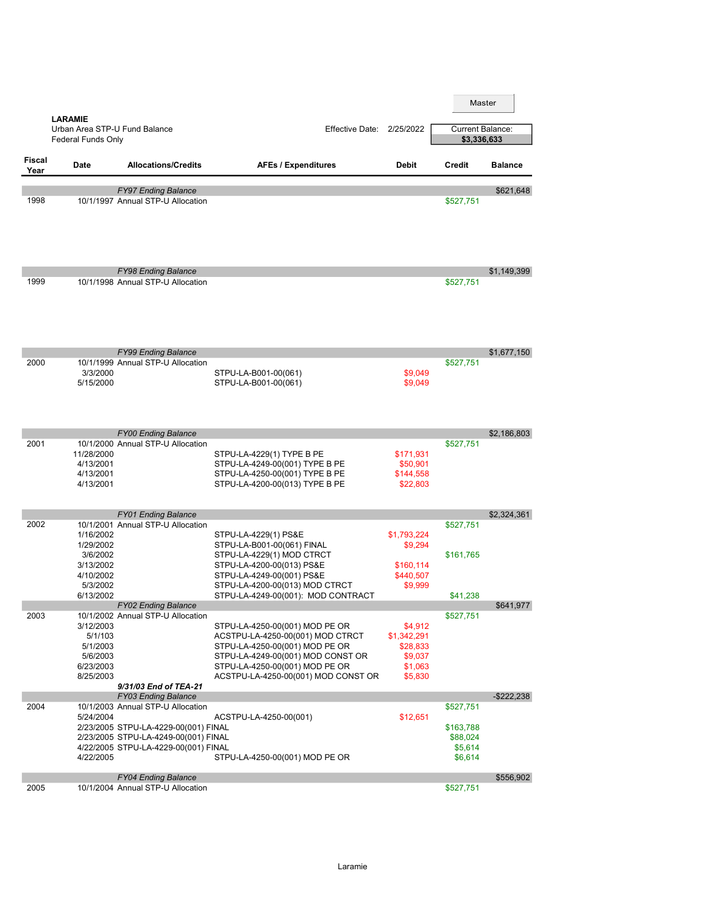|                       | <b>LARAMIE</b>                                                           |                                                                                                                                                           |                                                                                                                                                                                                                    |                                                                     |                                                          | Master         |
|-----------------------|--------------------------------------------------------------------------|-----------------------------------------------------------------------------------------------------------------------------------------------------------|--------------------------------------------------------------------------------------------------------------------------------------------------------------------------------------------------------------------|---------------------------------------------------------------------|----------------------------------------------------------|----------------|
|                       | Urban Area STP-U Fund Balance<br>Federal Funds Only                      |                                                                                                                                                           | <b>Effective Date: 2/25/2022</b>                                                                                                                                                                                   |                                                                     | <b>Current Balance:</b><br>\$3,336,633                   |                |
| <b>Fiscal</b><br>Year | <b>Date</b>                                                              | <b>Allocations/Credits</b>                                                                                                                                | <b>AFEs / Expenditures</b>                                                                                                                                                                                         | <b>Debit</b>                                                        | <b>Credit</b>                                            | <b>Balance</b> |
|                       |                                                                          | <b>FY97 Ending Balance</b>                                                                                                                                |                                                                                                                                                                                                                    |                                                                     |                                                          | \$621,648      |
| 1998                  |                                                                          | 10/1/1997 Annual STP-U Allocation                                                                                                                         |                                                                                                                                                                                                                    |                                                                     | \$527,751                                                |                |
| 1999                  |                                                                          | <b>FY98 Ending Balance</b><br>10/1/1998 Annual STP-U Allocation                                                                                           |                                                                                                                                                                                                                    |                                                                     | \$527,751                                                | \$1,149,399    |
|                       |                                                                          |                                                                                                                                                           |                                                                                                                                                                                                                    |                                                                     |                                                          |                |
| 2000                  | 3/3/2000<br>5/15/2000                                                    | <b>FY99 Ending Balance</b><br>10/1/1999 Annual STP-U Allocation                                                                                           | STPU-LA-B001-00(061)<br>STPU-LA-B001-00(061)                                                                                                                                                                       | \$9,049<br>\$9,049                                                  | \$527,751                                                | \$1,677,150    |
|                       |                                                                          | <b>FY00 Ending Balance</b>                                                                                                                                |                                                                                                                                                                                                                    |                                                                     |                                                          | \$2,186,803    |
| 2001                  | 11/28/2000<br>4/13/2001<br>4/13/2001<br>4/13/2001                        | 10/1/2000 Annual STP-U Allocation                                                                                                                         | STPU-LA-4229(1) TYPE B PE<br>STPU-LA-4249-00(001) TYPE B PE<br>STPU-LA-4250-00(001) TYPE B PE<br>STPU-LA-4200-00(013) TYPE B PE                                                                                    | \$171,931<br>\$50,901<br>\$144,558<br>\$22,803                      | \$527,751                                                |                |
|                       |                                                                          | <b>FY01 Ending Balance</b>                                                                                                                                |                                                                                                                                                                                                                    |                                                                     |                                                          | \$2,324,361    |
| 2002                  | 1/16/2002<br>1/29/2002<br>3/6/2002<br>3/13/2002<br>4/10/2002<br>5/3/2002 | 10/1/2001 Annual STP-U Allocation                                                                                                                         | STPU-LA-4229(1) PS&E<br>STPU-LA-B001-00(061) FINAL<br>STPU-LA-4229(1) MOD CTRCT<br>STPU-LA-4200-00(013) PS&E<br>STPU-LA-4249-00(001) PS&E<br>STPU-LA-4200-00(013) MOD CTRCT                                        | \$1,793,224<br>\$9,294<br>\$160,114<br>\$440,507<br>\$9,999         | \$527,751<br>\$161,765                                   |                |
|                       | 6/13/2002                                                                | <b>FY02 Ending Balance</b>                                                                                                                                | STPU-LA-4249-00(001): MOD CONTRACT                                                                                                                                                                                 |                                                                     | \$41,238                                                 | \$641,977      |
| 2003                  | 3/12/2003<br>5/1/103<br>5/1/2003<br>5/6/2003<br>6/23/2003<br>8/25/2003   | 10/1/2002 Annual STP-U Allocation<br>9/31/03 End of TEA-21                                                                                                | STPU-LA-4250-00(001) MOD PE OR<br>ACSTPU-LA-4250-00(001) MOD CTRCT<br>STPU-LA-4250-00(001) MOD PE OR<br>STPU-LA-4249-00(001) MOD CONST OR<br>STPU-LA-4250-00(001) MOD PE OR<br>ACSTPU-LA-4250-00(001) MOD CONST OR | \$4,912<br>\$1,342,291<br>\$28,833<br>\$9,037<br>\$1,063<br>\$5,830 | \$527,751                                                |                |
|                       |                                                                          | <b>FY03 Ending Balance</b>                                                                                                                                |                                                                                                                                                                                                                    |                                                                     |                                                          | $-$ \$222,238  |
| 2004                  | 5/24/2004<br>4/22/2005                                                   | 10/1/2003 Annual STP-U Allocation<br>2/23/2005 STPU-LA-4229-00(001) FINAL<br>2/23/2005 STPU-LA-4249-00(001) FINAL<br>4/22/2005 STPU-LA-4229-00(001) FINAL | ACSTPU-LA-4250-00(001)<br>STPU-LA-4250-00(001) MOD PE OR                                                                                                                                                           | \$12,651                                                            | \$527,751<br>\$163,788<br>\$88,024<br>\$5,614<br>\$6,614 |                |
|                       |                                                                          | <b>FY04 Ending Balance</b>                                                                                                                                |                                                                                                                                                                                                                    |                                                                     |                                                          | \$556,902      |
| 2005                  |                                                                          | 10/1/2004 Annual STP-U Allocation                                                                                                                         |                                                                                                                                                                                                                    |                                                                     | \$527,751                                                |                |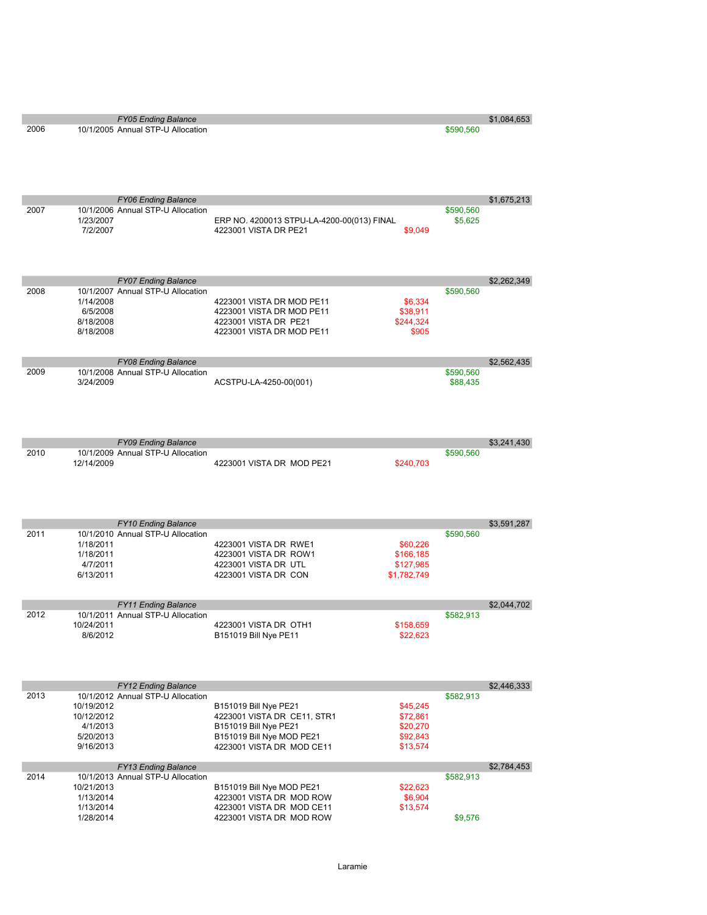| 2006 |                          | , , vo Lnang Dalano<br>10/1/2005 Annual STP-U Allocation        |                                                                                | \$590,560 | $v$ , , $v$ , , , , , , , , |
|------|--------------------------|-----------------------------------------------------------------|--------------------------------------------------------------------------------|-----------|-----------------------------|
|      |                          |                                                                 |                                                                                |           |                             |
|      |                          |                                                                 |                                                                                |           |                             |
| 2007 |                          | <b>FY06 Ending Balance</b><br>10/1/2006 Annual STP-U Allocation |                                                                                | \$590,560 | \$1,675,213                 |
|      | 1/23/2007<br>7/2/2007    |                                                                 | ERP NO. 4200013 STPU-LA-4200-00(013) FINAL<br>4223001 VISTA DR PE21<br>\$9,049 | \$5,625   |                             |
|      |                          | <b>FY07 Ending Balance</b>                                      |                                                                                |           | \$2,262,349                 |
| 2008 | 1/14/2008                | 10/1/2007 Annual STP-U Allocation                               | 4223001 VISTA DR MOD PE11<br>\$6,334                                           | \$590,560 |                             |
|      | 6/5/2008                 |                                                                 | 4223001 VISTA DR MOD PE11<br>\$38,911                                          |           |                             |
|      | 8/18/2008                |                                                                 | 4223001 VISTA DR PE21<br>\$244,324                                             |           |                             |
|      | 8/18/2008                |                                                                 | 4223001 VISTA DR MOD PE11<br>\$905                                             |           |                             |
| 2009 |                          | <b>FY08 Ending Balance</b><br>10/1/2008 Annual STP-U Allocation |                                                                                | \$590,560 | \$2,562,435                 |
|      | 3/24/2009                |                                                                 | ACSTPU-LA-4250-00(001)                                                         | \$88,435  |                             |
|      |                          |                                                                 |                                                                                |           |                             |
|      |                          |                                                                 |                                                                                |           |                             |
|      |                          | <b>FY09 Ending Balance</b>                                      |                                                                                |           | \$3,241,430                 |
| 2010 | 12/14/2009               | 10/1/2009 Annual STP-U Allocation                               | 4223001 VISTA DR MOD PE21<br>\$240,703                                         | \$590,560 |                             |
|      |                          |                                                                 |                                                                                |           |                             |
|      |                          |                                                                 |                                                                                |           |                             |
|      |                          | <b>FY10 Ending Balance</b>                                      |                                                                                |           | \$3,591,287                 |
| 2011 |                          | 10/1/2010 Annual STP-U Allocation                               |                                                                                | \$590,560 |                             |
|      | 1/18/2011<br>1/18/2011   |                                                                 | 4223001 VISTA DR RWE1<br>\$60,226<br>4223001 VISTA DR ROW1                     |           |                             |
|      | 4/7/2011                 |                                                                 | \$166,185<br>4223001 VISTA DR UTL<br>\$127,985                                 |           |                             |
|      | 6/13/2011                |                                                                 | 4223001 VISTA DR CON<br>\$1,782,749                                            |           |                             |
|      |                          | <b>FY11 Ending Balance</b>                                      |                                                                                |           | \$2,044,702                 |
| 2012 | 10/24/2011               | 10/1/2011 Annual STP-U Allocation                               | 4223001 VISTA DR OTH1                                                          | \$582,913 |                             |
|      | 8/6/2012                 |                                                                 | \$158,659<br>B151019 Bill Nye PE11<br>\$22,623                                 |           |                             |
|      |                          |                                                                 |                                                                                |           |                             |
|      |                          | <b>FY12 Ending Balance</b>                                      |                                                                                |           | \$2,446,333                 |
| 2013 |                          | 10/1/2012 Annual STP-U Allocation                               |                                                                                | \$582,913 |                             |
|      | 10/19/2012<br>10/12/2012 |                                                                 | \$45,245<br>B151019 Bill Nye PE21<br>4223001 VISTA DR CE11, STR1<br>\$72,861   |           |                             |
|      | 4/1/2013                 |                                                                 | B151019 Bill Nye PE21<br>\$20,270                                              |           |                             |
|      | 5/20/2013                |                                                                 | B151019 Bill Nye MOD PE21<br>\$92,843                                          |           |                             |
|      | 9/16/2013                |                                                                 | 4223001 VISTA DR MOD CE11<br>\$13,574                                          |           |                             |
| 2014 |                          | <b>FY13 Ending Balance</b><br>10/1/2013 Annual STP-U Allocation |                                                                                | \$582,913 | \$2,784,453                 |
|      | 10/21/2013               |                                                                 | B151019 Bill Nye MOD PE21<br>\$22,623                                          |           |                             |
|      | 1/13/2014                |                                                                 | 4223001 VISTA DR MOD ROW<br>\$6,904                                            |           |                             |
|      | 1/13/2014<br>1/28/2014   |                                                                 | 4223001 VISTA DR MOD CE11<br>\$13,574<br>4223001 VISTA DR MOD ROW              | \$9,576   |                             |
|      |                          |                                                                 |                                                                                |           |                             |

FY05 Ending Balance \$1,084,653